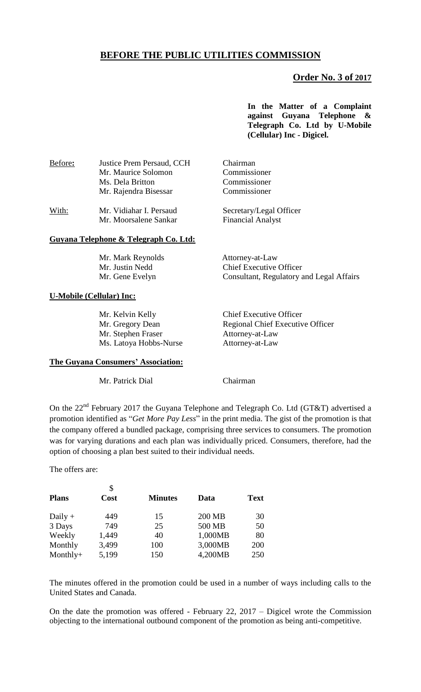# **BEFORE THE PUBLIC UTILITIES COMMISSION**

## **Order No. 3 of 2017**

**In the Matter of a Complaint against Guyana Telephone & Telegraph Co. Ltd by U-Mobile (Cellular) Inc - Digicel.**

| Before: | Justice Prem Persaud, CCH<br>Mr. Maurice Solomon<br>Ms. Dela Britton<br>Mr. Rajendra Bisessar | Chairman<br>Commissioner<br>Commissioner<br>Commissioner |  |
|---------|-----------------------------------------------------------------------------------------------|----------------------------------------------------------|--|
| With:   | Mr. Vidiahar I. Persaud<br>Mr. Moorsalene Sankar                                              | Secretary/Legal Officer<br><b>Financial Analyst</b>      |  |

#### **Guyana Telephone & Telegraph Co. Ltd:**

 Mr. Mark Reynolds Attorney-at-Law Mr. Justin Nedd Chief Executive Officer Mr. Gene Evelyn Consultant, Regulatory and Legal Affairs

### **U-Mobile (Cellular) Inc:**

Mr. Stephen Fraser Attorney-at-Law Ms. Latoya Hobbs-Nurse Attorney-at-Law

Mr. Kelvin Kelly Chief Executive Officer Mr. Gregory Dean Regional Chief Executive Officer

## **The Guyana Consumers' Association:**

Mr. Patrick Dial Chairman

On the 22<sup>nd</sup> February 2017 the Guyana Telephone and Telegraph Co. Ltd (GT&T) advertised a promotion identified as "*Get More Pay Less*" in the print media. The gist of the promotion is that the company offered a bundled package, comprising three services to consumers. The promotion was for varying durations and each plan was individually priced. Consumers, therefore, had the option of choosing a plan best suited to their individual needs.

The offers are:

| <b>Plans</b> | \$<br>Cost | <b>Minutes</b> | Data    | <b>Text</b> |
|--------------|------------|----------------|---------|-------------|
| Daily $+$    | 449        | 15             | 200 MB  | 30          |
| 3 Days       | 749        | 25             | 500 MB  | 50          |
| Weekly       | 1,449      | 40             | 1,000MB | 80          |
| Monthly      | 3,499      | 100            | 3,000MB | 200         |
| $Monthly+$   | 5,199      | 150            | 4,200MB | 250         |

The minutes offered in the promotion could be used in a number of ways including calls to the United States and Canada.

On the date the promotion was offered - February 22, 2017 – Digicel wrote the Commission objecting to the international outbound component of the promotion as being anti-competitive.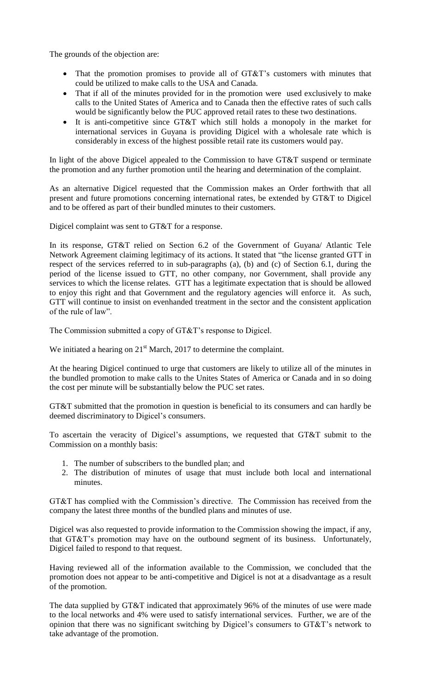The grounds of the objection are:

- That the promotion promises to provide all of GT&T's customers with minutes that could be utilized to make calls to the USA and Canada.
- That if all of the minutes provided for in the promotion were used exclusively to make calls to the United States of America and to Canada then the effective rates of such calls would be significantly below the PUC approved retail rates to these two destinations.
- It is anti-competitive since GT&T which still holds a monopoly in the market for international services in Guyana is providing Digicel with a wholesale rate which is considerably in excess of the highest possible retail rate its customers would pay.

In light of the above Digicel appealed to the Commission to have GT&T suspend or terminate the promotion and any further promotion until the hearing and determination of the complaint.

As an alternative Digicel requested that the Commission makes an Order forthwith that all present and future promotions concerning international rates, be extended by GT&T to Digicel and to be offered as part of their bundled minutes to their customers.

Digicel complaint was sent to GT&T for a response.

In its response, GT&T relied on Section 6.2 of the Government of Guyana/ Atlantic Tele Network Agreement claiming legitimacy of its actions. It stated that "the license granted GTT in respect of the services referred to in sub-paragraphs (a), (b) and (c) of Section 6.1, during the period of the license issued to GTT, no other company, nor Government, shall provide any services to which the license relates. GTT has a legitimate expectation that is should be allowed to enjoy this right and that Government and the regulatory agencies will enforce it. As such, GTT will continue to insist on evenhanded treatment in the sector and the consistent application of the rule of law".

The Commission submitted a copy of GT&T's response to Digicel.

We initiated a hearing on  $21<sup>st</sup>$  March, 2017 to determine the complaint.

At the hearing Digicel continued to urge that customers are likely to utilize all of the minutes in the bundled promotion to make calls to the Unites States of America or Canada and in so doing the cost per minute will be substantially below the PUC set rates.

GT&T submitted that the promotion in question is beneficial to its consumers and can hardly be deemed discriminatory to Digicel's consumers.

To ascertain the veracity of Digicel's assumptions, we requested that GT&T submit to the Commission on a monthly basis:

- 1. The number of subscribers to the bundled plan; and
- 2. The distribution of minutes of usage that must include both local and international minutes.

GT&T has complied with the Commission's directive. The Commission has received from the company the latest three months of the bundled plans and minutes of use.

Digicel was also requested to provide information to the Commission showing the impact, if any, that GT&T's promotion may have on the outbound segment of its business. Unfortunately, Digicel failed to respond to that request.

Having reviewed all of the information available to the Commission, we concluded that the promotion does not appear to be anti-competitive and Digicel is not at a disadvantage as a result of the promotion.

The data supplied by GT&T indicated that approximately 96% of the minutes of use were made to the local networks and 4% were used to satisfy international services. Further, we are of the opinion that there was no significant switching by Digicel's consumers to GT&T's network to take advantage of the promotion.